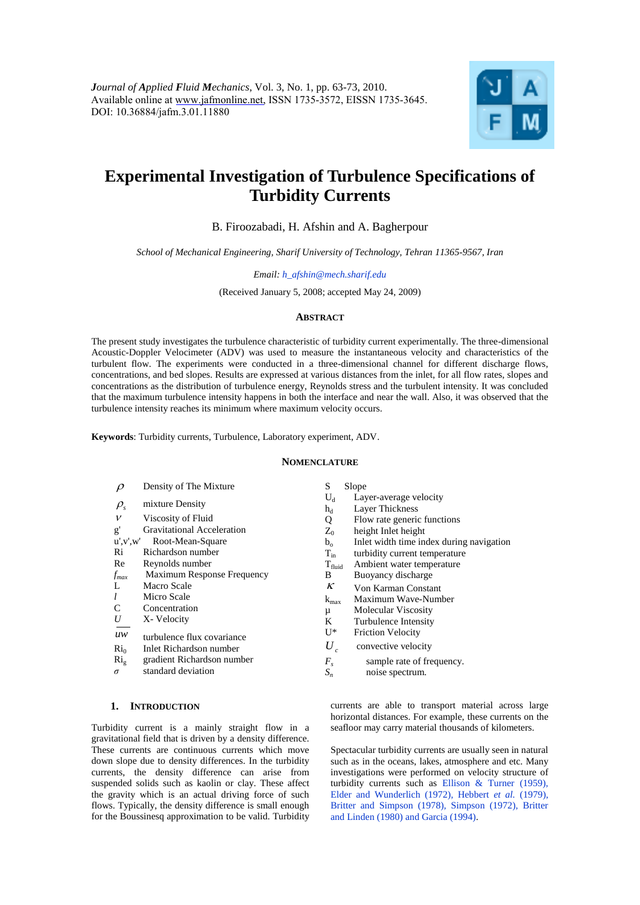

# **Experimental Investigation of Turbulence Specifications of Turbidity Currents**

B. Firoozabadi, H. Afshin and A. Bagherpour

*School of Mechanical Engineering, Sharif University of Technology, Tehran 11365-9567, Iran* 

*Email: h\_afshin@mech.sharif.edu*

(Received January 5, 2008; accepted May 24, 2009)

## **ABSTRACT**

The present study investigates the turbulence characteristic of turbidity current experimentally. The three-dimensional Acoustic-Doppler Velocimeter (ADV) was used to measure the instantaneous velocity and characteristics of the turbulent flow. The experiments were conducted in a three-dimensional channel for different discharge flows, concentrations, and bed slopes. Results are expressed at various distances from the inlet, for all flow rates, slopes and concentrations as the distribution of turbulence energy, Reynolds stress and the turbulent intensity. It was concluded that the maximum turbulence intensity happens in both the interface and near the wall. Also, it was observed that the turbulence intensity reaches its minimum where maximum velocity occurs.

**Keywords**: Turbidity currents, Turbulence, Laboratory experiment, ADV.

#### **NOMENCLATURE**

| $\rho$         | Density of The Mixture     | S                         | Slope                                     |
|----------------|----------------------------|---------------------------|-------------------------------------------|
| $\rho_{\rm s}$ | mixture Density            | $U_d$<br>$h_d$            | Layer-average velocity<br>Layer Thickness |
| v              | Viscosity of Fluid         | Q                         | Flow rate generic functions               |
| g'             | Gravitational Acceleration | $Z_0$                     | height Inlet height                       |
| u', v', w'     | Root-Mean-Square           | $b_{\alpha}$              | Inlet width time index during navigation  |
| Ri             | Richardson number          | $T_{in}$                  | turbidity current temperature             |
| Re             | Reynolds number            | $T_{\text{fluid}}$        | Ambient water temperature                 |
| $f_{max}$      | Maximum Response Frequency | B                         | Buoyancy discharge                        |
| L              | Macro Scale                | К                         | Von Karman Constant                       |
| l              | Micro Scale                | $k_{max}$                 | Maximum Wave-Number                       |
| C              | Concentration              | μ                         | Molecular Viscosity                       |
| U              | X-Velocity                 | K                         | Turbulence Intensity                      |
| uw             | turbulence flux covariance | U*                        | <b>Friction Velocity</b>                  |
| $\rm Ri_0$     | Inlet Richardson number    | $U_{\cdot}$<br>$\epsilon$ | convective velocity                       |
| $\rm Ri_{g}$   | gradient Richardson number | $F_{s}$                   | sample rate of frequency.                 |
| $\sigma$       | standard deviation         | $S_n$                     | noise spectrum.                           |

## **1. INTRODUCTION**

Turbidity current is a mainly straight flow in a [gravitational field](http://en.wikipedia.org/wiki/Gravity) that is driven by [a density](http://en.wikipedia.org/wiki/Density) difference. These currents are continuous currents which move down slope due to density differences. In the turbidity currents, the density difference can arise from suspended solids such as kaolin or clay. These affect the gravity which is an actual driving force of such flows. Typically, the density difference is small enough for th[e Boussinesq approximation](http://en.wikipedia.org/wiki/Boussinesq_approximation) to be valid. Turbidity

currents are able to transport material across large horizontal distances. For example, these currents on the seafloor may carry material thousands of kilometers.

Spectacular turbidity currents are usually seen in natural such as in the oceans, lakes, atmosphere and etc. Many investigations were performed on velocity structure of turbidity currents such as Ellison & Turner (1959), Elder and Wunderlich (1972), Hebbert *et al.* (1979), Britter and Simpson (1978), Simpson (1972), Britter and Linden (1980) and Garcia (1994).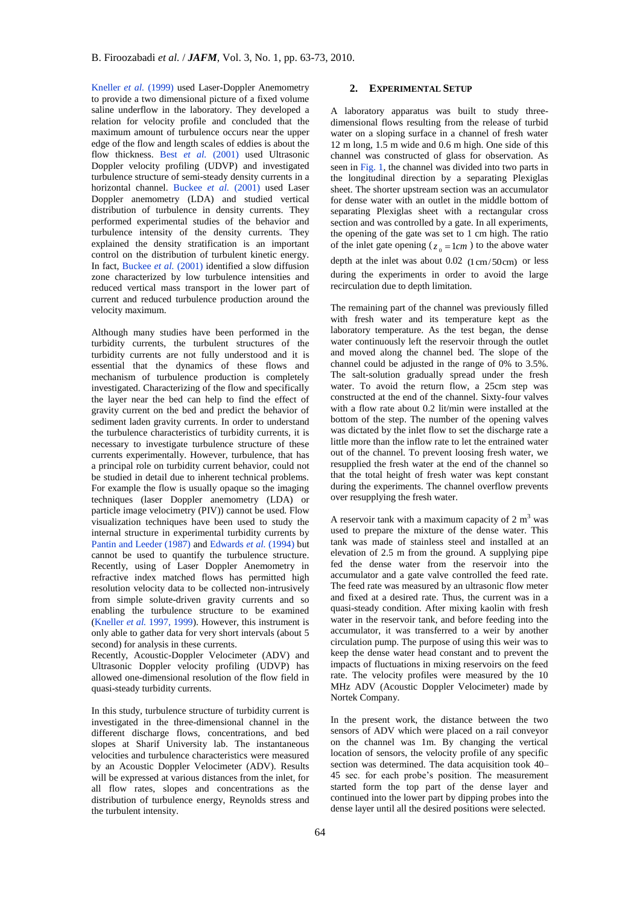Kneller *et al.* (1999) used Laser-Doppler Anemometry to provide a two dimensional picture of a fixed volume saline underflow in the laboratory. They developed a relation for velocity profile and concluded that the maximum amount of turbulence occurs near the upper edge of the flow and length scales of eddies is about the flow thickness. Best *et al.* (2001) used Ultrasonic Doppler velocity profiling (UDVP) and investigated turbulence structure of semi-steady density currents in a horizontal channel. Buckee *et al.* (2001) used Laser Doppler anemometry (LDA) and studied vertical distribution of turbulence in density currents. They performed experimental studies of the behavior and turbulence intensity of the density currents. They explained the density stratification is an important control on the distribution of turbulent kinetic energy. In fact, Buckee *et al.* (2001) identified a slow diffusion zone characterized by low turbulence intensities and reduced vertical mass transport in the lower part of current and reduced turbulence production around the velocity maximum.

Although many studies have been performed in the turbidity currents, the turbulent structures of the turbidity currents are not fully understood and it is essential that the dynamics of these flows and mechanism of turbulence production is completely investigated. Characterizing of the flow and specifically the layer near the bed can help to find the effect of gravity current on the bed and predict the behavior of sediment laden gravity currents. In order to understand the turbulence characteristics of turbidity currents, it is necessary to investigate turbulence structure of these currents experimentally. However, turbulence, that has a principal role on turbidity current behavior, could not be studied in detail due to inherent technical problems. For example the flow is usually opaque so the imaging techniques (laser Doppler anemometry (LDA) or particle image velocimetry (PIV)) cannot be used. Flow visualization techniques have been used to study the internal structure in experimental turbidity currents by Pantin and Leeder (1987) and Edwards *et al.* (1994) but cannot be used to quantify the turbulence structure. Recently, using of Laser Doppler Anemometry in refractive index matched flows has permitted high resolution velocity data to be collected non-intrusively from simple solute-driven gravity currents and so enabling the turbulence structure to be examined (Kneller *et al.* 1997, 1999). However, this instrument is only able to gather data for very short intervals (about 5 second) for analysis in these currents.

Recently, Acoustic-Doppler Velocimeter (ADV) and Ultrasonic Doppler velocity profiling (UDVP) has allowed one-dimensional resolution of the flow field in quasi-steady turbidity currents.

In this study, turbulence structure of turbidity current is investigated in the three-dimensional channel in the different discharge flows, concentrations, and bed slopes at Sharif University lab. The instantaneous velocities and turbulence characteristics were measured by an Acoustic Doppler Velocimeter (ADV). Results will be expressed at various distances from the inlet, for all flow rates, slopes and concentrations as the distribution of turbulence energy, Reynolds stress and the turbulent intensity.

# **2. EXPERIMENTAL SETUP**

A laboratory apparatus was built to study threedimensional flows resulting from the release of turbid water on a sloping surface in a channel of fresh water 12 m long, 1.5 m wide and 0.6 m high. One side of this channel was constructed of glass for observation. As seen in Fig. 1, the channel was divided into two parts in the longitudinal direction by a separating Plexiglas sheet. The shorter upstream section was an accumulator for dense water with an outlet in the middle bottom of separating Plexiglas sheet with a rectangular cross section and was controlled by a gate. In all experiments, the opening of the gate was set to 1 cm high. The ratio of the inlet gate opening ( $z_0 = 1$ *cm*) to the above water depth at the inlet was about  $0.02$  ( $1 \text{ cm}/50 \text{ cm}$ ) or less during the experiments in order to avoid the large recirculation due to depth limitation.

The remaining part of the channel was previously filled with fresh water and its temperature kept as the laboratory temperature. As the test began, the dense water continuously left the reservoir through the outlet and moved along the channel bed. The slope of the channel could be adjusted in the range of 0% to 3.5%. The salt-solution gradually spread under the fresh water. To avoid the return flow, a 25cm step was constructed at the end of the channel. Sixty-four valves with a flow rate about 0.2 lit/min were installed at the bottom of the step. The number of the opening valves was dictated by the inlet flow to set the discharge rate a little more than the inflow rate to let the entrained water out of the channel. To prevent loosing fresh water, we resupplied the fresh water at the end of the channel so that the total height of fresh water was kept constant during the experiments. The channel overflow prevents over resupplying the fresh water.

A reservoir tank with a maximum capacity of  $2 \text{ m}^3$  was used to prepare the mixture of the dense water. This tank was made of stainless steel and installed at an elevation of 2.5 m from the ground. A supplying pipe fed the dense water from the reservoir into the accumulator and a gate valve controlled the feed rate. The feed rate was measured by an ultrasonic flow meter and fixed at a desired rate. Thus, the current was in a quasi-steady condition. After mixing kaolin with fresh water in the reservoir tank, and before feeding into the accumulator, it was transferred to a weir by another circulation pump. The purpose of using this weir was to keep the dense water head constant and to prevent the impacts of fluctuations in mixing reservoirs on the feed rate. The velocity profiles were measured by the 10 MHz ADV (Acoustic Doppler Velocimeter) made by Nortek Company.

In the present work, the distance between the two sensors of ADV which were placed on a rail conveyor on the channel was 1m. By changing the vertical location of sensors, the velocity profile of any specific section was determined. The data acquisition took 40– 45 sec. for each probe's position. The measurement started form the top part of the dense layer and continued into the lower part by dipping probes into the dense layer until all the desired positions were selected.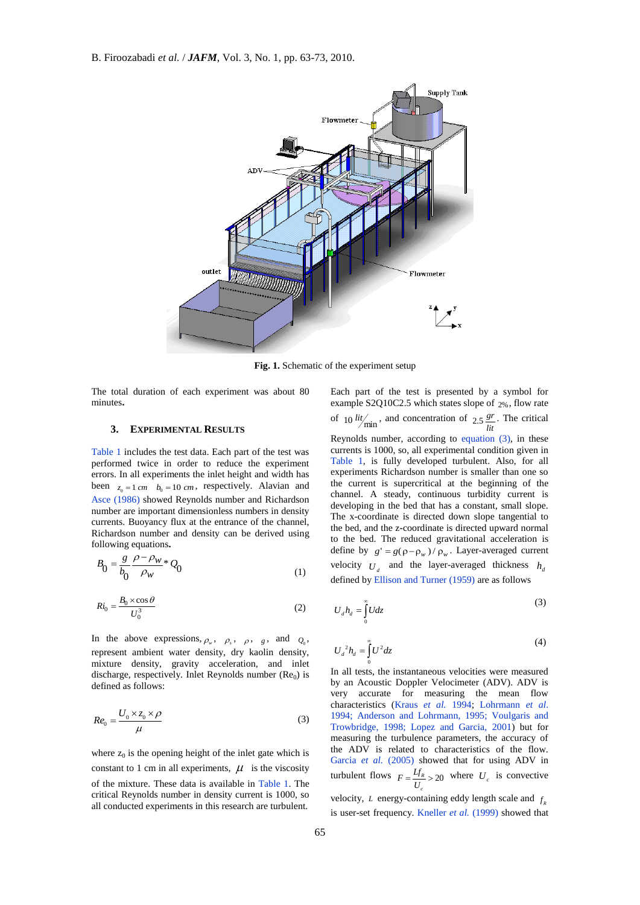

**Fig. 1.** Schematic of the experiment setup

The total duration of each experiment was about 80 minutes**.**

## **3. EXPERIMENTAL RESULTS**

Table 1 includes the test data. Each part of the test was performed twice in order to reduce the experiment errors. In all experiments the inlet height and width has been  $z_0 = 1$  *cm*  $b_0 = 10$  *cm*, respectively. Alavian and Asce (1986) showed Reynolds number and Richardson number are important dimensionless numbers in density currents. Buoyancy flux at the entrance of the channel, Richardson number and density can be derived using following equations**.**

$$
B_0 = \frac{g}{b_0} \frac{\rho - \rho_W}{\rho_W} * Q_0 \tag{1}
$$

$$
Ri_0 = \frac{B_0 \times \cos \theta}{U_0^3}
$$
 (2)

In the above expressions,  $\rho_w$ ,  $\rho_s$ ,  $\rho_s$ ,  $g$ , and  $Q_0$ , represent ambient water density, dry kaolin density, mixture density, gravity acceleration, and inlet discharge, respectively. Inlet Reynolds number  $(Re_0)$  is defined as follows:

$$
Re_0 = \frac{U_0 \times z_0 \times \rho}{\mu} \tag{3}
$$

where  $z_0$  is the opening height of the inlet gate which is constant to 1 cm in all experiments,  $\mu$  is the viscosity of the mixture. These data is available in Table 1. The critical Reynolds number in density current is 1000, so all conducted experiments in this research are turbulent.

Each part of the test is presented by a symbol for example S2Q10C2.5 which states slope of 2% , flow rate of 10  $\frac{lit}{min}$ , and concentration of 2.5  $\frac{gr}{lit}$ . The critical Reynolds number, according to equation (3), in these currents is 1000, so, all experimental condition given in Table 1, is fully developed turbulent. Also, for all experiments Richardson number is smaller than one so the current is supercritical at the beginning of the channel. A steady, continuous turbidity current is developing in the bed that has a constant, small slope. The x-coordinate is directed down slope tangential to the bed, and the z-coordinate is directed upward normal to the bed. The reduced gravitational acceleration is define by  $g' = g(\rho - \rho_w) / \rho_w$ . Layer-averaged current velocity  $U_d$  and the layer-averaged thickness  $h_d$ defined by Ellison and Turner (1959) are as follows

$$
U_d h_d = \int_0^\infty U dz \tag{3}
$$

$$
U_d^2 h_d = \int_0^\infty U^2 dz \tag{4}
$$

In all tests, the instantaneous velocities were measured by an Acoustic Doppler Velocimeter (ADV). ADV is very accurate for measuring the mean flow characteristics (Kraus *et al.* 1994; Lohrmann *et al*. 1994; Anderson and Lohrmann, 1995; Voulgaris and Trowbridge, 1998; Lopez and Garcia, 2001) but for measuring the turbulence parameters, the accuracy of the ADV is related to characteristics of the flow. Garcia et al. (2005) showed that for using ADV in turbulent flows  $F = \frac{Lf_R}{\sqrt{r}} > 20$ *c*  $F = \frac{Lf_R}{U_c} > 20$  where  $U_c$  is convective

velocity, *L* energy-containing eddy length scale and  $f<sub>R</sub>$ is user-set frequency. Kneller *et al.* (1999) showed that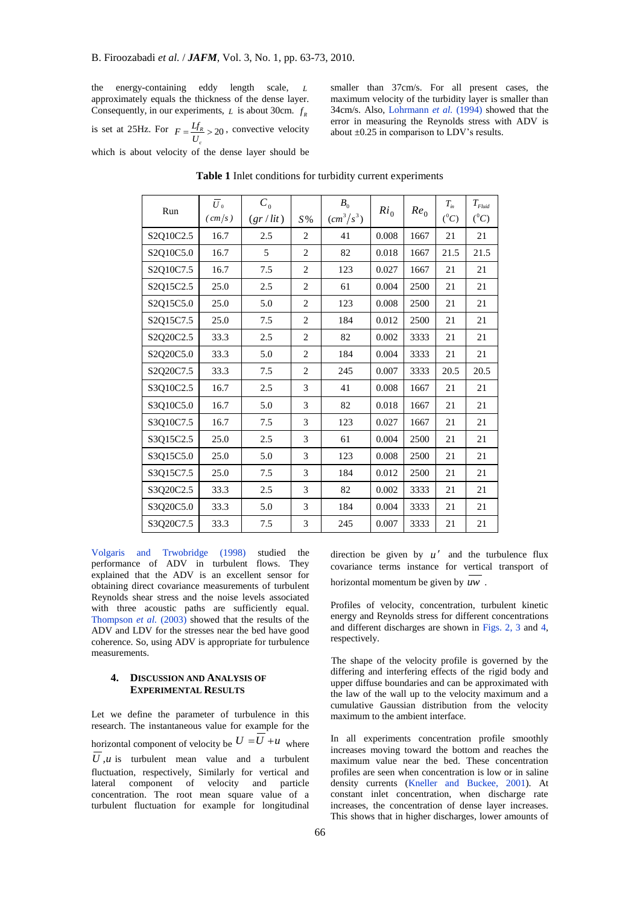the energy-containing eddy length scale, *L* approximately equals the thickness of the dense layer. Consequently, in our experiments,  $L$  is about 30cm.  $f_R$ 

is set at 25Hz. For  $F = \frac{Lf_R}{r} > 20$ *c*  $F = \frac{Lf_R}{U_c} > 20$ , convective velocity 34cm/s. Also, Lohrmann *et al.* (1994) showed that the error in measuring the Reynolds stress with ADV is about  $\pm 0.25$  in comparison to LDV's results.

which is about velocity of the dense layer should be

| Run       | $\overline{U}_0$<br>(cm/s) | $\boldsymbol{C}_0$<br>(gr/lit) | $S\,\%$        | $B_0$<br>$\left(\frac{cm^3}{s^3}\right)$ | $Ri_0$    | $Re_0$ | $T_{in}$<br>$({}^0C)$ | $T_{\it Fluid}$<br>$({}^0C)$ |
|-----------|----------------------------|--------------------------------|----------------|------------------------------------------|-----------|--------|-----------------------|------------------------------|
| S2Q10C2.5 | 16.7                       | 2.5                            | $\overline{c}$ | 41                                       | 0.008     | 1667   | 21                    | 21                           |
| S2Q10C5.0 | 16.7                       | 5                              | $\overline{2}$ | 82                                       | 0.018     | 1667   | 21.5                  | 21.5                         |
| S2Q10C7.5 | 16.7                       | 7.5                            | $\overline{2}$ | 123                                      | 0.027     | 1667   | 21                    | 21                           |
| S2Q15C2.5 | 25.0                       | 2.5                            | $\overline{c}$ | 61                                       | 0.004     | 2500   | 21                    | 21                           |
| S2Q15C5.0 | 25.0                       | 5.0                            | $\overline{c}$ | 123                                      | 0.008     | 2500   | 21                    | 21                           |
| S2Q15C7.5 | 25.0                       | 7.5                            | $\overline{c}$ | 184                                      | 0.012     | 2500   | 21                    | 21                           |
| S2Q20C2.5 | 33.3                       | 2.5                            | 2              | 82                                       | 0.002     | 3333   | 21                    | 21                           |
| S2Q20C5.0 | 33.3                       | 5.0                            | $\overline{c}$ | 184                                      | 0.004     | 3333   | 21                    | 21                           |
| S2Q20C7.5 | 33.3                       | 7.5                            | 2              | 245                                      | 0.007     | 3333   | 20.5                  | 20.5                         |
| S3Q10C2.5 | 16.7                       | 2.5                            | 3              | 41                                       | 0.008     | 1667   | 21                    | 21                           |
| S3Q10C5.0 | 16.7                       | 5.0                            | 3              | 82                                       | 0.018     | 1667   | 21                    | 21                           |
| S3Q10C7.5 | 16.7                       | 7.5                            | 3              | 123                                      | 0.027     | 1667   | 21                    | 21                           |
| S3Q15C2.5 | 25.0                       | 2.5                            | 3              | 61                                       | 0.004     | 2500   | 21                    | 21                           |
| S3Q15C5.0 | 25.0                       | 5.0                            | 3              | 123                                      | $0.008\,$ | 2500   | 21                    | 21                           |
| S3Q15C7.5 | 25.0                       | 7.5                            | 3              | 184                                      | 0.012     | 2500   | 21                    | 21                           |
| S3Q20C2.5 | 33.3                       | 2.5                            | 3              | 82                                       | 0.002     | 3333   | 21                    | 21                           |
| S3Q20C5.0 | 33.3                       | 5.0                            | 3              | 184                                      | 0.004     | 3333   | 21                    | 21                           |
| S3Q20C7.5 | 33.3                       | 7.5                            | 3              | 245                                      | 0.007     | 3333   | 21                    | $21\,$                       |

**Table 1** Inlet conditions for turbidity current experiments

Volgaris and Trwobridge (1998) studied the performance of ADV in turbulent flows. They explained that the ADV is an excellent sensor for obtaining direct covariance measurements of turbulent Reynolds shear stress and the noise levels associated with three acoustic paths are sufficiently equal. Thompson *et al.* (2003) showed that the results of the ADV and LDV for the stresses near the bed have good coherence. So, using ADV is appropriate for turbulence measurements.

# **4. DISCUSSION AND ANALYSIS OF EXPERIMENTAL RESULTS**

Let we define the parameter of turbulence in this research. The instantaneous value for example for the horizontal component of velocity be  $U = U + u$  where *U ,u* is turbulent mean value and a turbulent fluctuation, respectively, Similarly for vertical and lateral component of velocity and particle concentration. The root mean square value of a turbulent fluctuation for example for longitudinal

direction be given by  $u'$  and the turbulence flux covariance terms instance for vertical transport of horizontal momentum be given by *uw* .

smaller than 37cm/s. For all present cases, the maximum velocity of the turbidity layer is smaller than

Profiles of velocity, concentration, turbulent kinetic energy and Reynolds stress for different concentrations and different discharges are shown in Figs. 2, 3 and 4, respectively.

The shape of the velocity profile is governed by the differing and interfering effects of the rigid body and upper diffuse boundaries and can be approximated with the law of the wall up to the velocity maximum and a cumulative Gaussian distribution from the velocity maximum to the ambient interface.

In all experiments concentration profile smoothly increases moving toward the bottom and reaches the maximum value near the bed. These concentration profiles are seen when concentration is low or in saline density currents (Kneller and Buckee, 2001). At constant inlet concentration, when discharge rate increases, the concentration of dense layer increases. This shows that in higher discharges, lower amounts of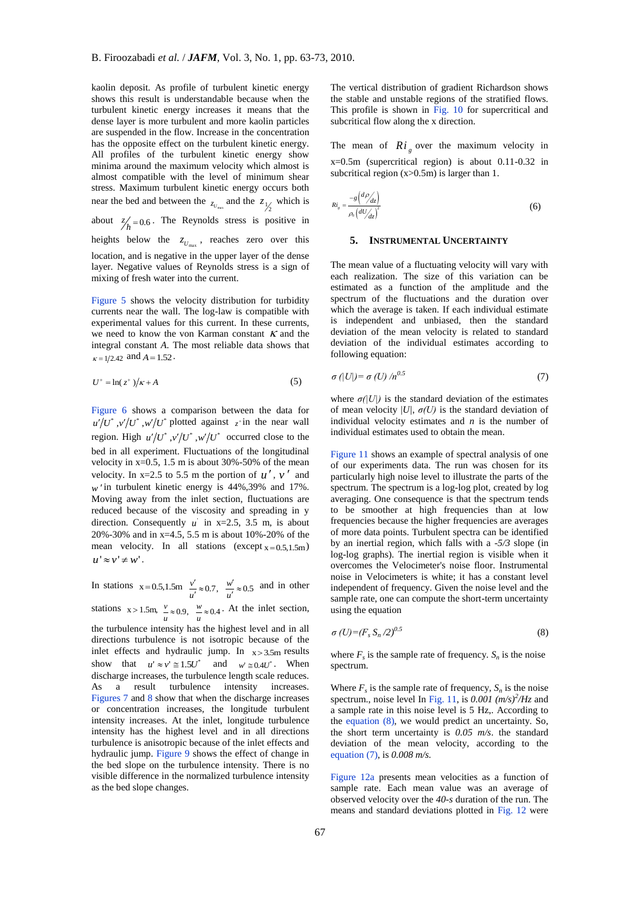kaolin deposit. As profile of turbulent kinetic energy shows this result is understandable because when the turbulent kinetic energy increases it means that the dense layer is more turbulent and more kaolin particles are suspended in the flow. Increase in the concentration has the opposite effect on the turbulent kinetic energy. All profiles of the turbulent kinetic energy show minima around the maximum velocity which almost is almost compatible with the level of minimum shear stress. Maximum turbulent kinetic energy occurs both near the bed and between the  $z_{U_{\text{max}}}$  and the  $z_{V_2}$  which is about  $\frac{z}{h} = 0.6$ . The Reynolds stress is positive in

heights below the  $z_{U_{\text{max}}}$ , reaches zero over this location, and is negative in the upper layer of the dense layer. Negative values of Reynolds stress is a sign of mixing of fresh water into the current.

Figure 5 shows the velocity distribution for turbidity currents near the wall. The log-law is compatible with experimental values for this current. In these currents, we need to know the von Karman constant  $K$  and the integral constant *A*. The most reliable data shows that  $\kappa = 1/2.42$  and  $A = 1.52$ .

$$
U^+ = \ln(z^+) / \kappa + A \tag{5}
$$

Figure 6 shows a comparison between the data for  $u'/U^*$ ,  $v'/U^*$ ,  $w'/U^*$  plotted against  $z^+$ in the near wall region. High  $u'/U^*$ ,  $v'/U^*$ ,  $w'/U^*$  occurred close to the bed in all experiment. Fluctuations of the longitudinal velocity in x=0.5, 1.5 m is about 30%-50% of the mean velocity. In  $x=2.5$  to 5.5 m the portion of  $u'$ ,  $v'$  and  $w'$  in turbulent kinetic energy is  $44\%, 39\%$  and  $17\%$ . Moving away from the inlet section, fluctuations are reduced because of the viscosity and spreading in y direction. Consequently  $u'$  in  $x=2.5$ , 3.5 m, is about 20%-30% and in x=4.5, 5.5 m is about 10%-20% of the mean velocity. In all stations  $(except x=0.5,1.5m)$  $u' \approx v' \neq w'$ .

In stations  $x = 0.5, 1.5m$   $\frac{v'}{u'} \approx 0.7$ ,  $\frac{w'}{u'} \approx 0.5$  $\frac{v'}{t} \approx 0.7$ ,  $\frac{w'}{u'} \approx 0.5$  and in other

stations  $x > 1.5m$ ,  $\frac{v}{u} \approx 0.9$ ,  $\frac{w}{u} \approx 0.4$ . At the inlet section,

the turbulence intensity has the highest level and in all directions turbulence is not isotropic because of the inlet effects and hydraulic jump. In  $x > 3.5$ m results show that  $u' \approx v' \approx 1.5U^*$  and and  $w \approx 0.4U^*$ . When discharge increases, the turbulence length scale reduces. As a result turbulence intensity increases. Figures 7 and 8 show that when the discharge increases or concentration increases, the longitude turbulent intensity increases. At the inlet, longitude turbulence intensity has the highest level and in all directions turbulence is anisotropic because of the inlet effects and hydraulic jump. Figure 9 shows the effect of change in the bed slope on the turbulence intensity. There is no visible difference in the normalized turbulence intensity as the bed slope changes.

The vertical distribution of gradient Richardson shows the stable and unstable regions of the stratified flows. This profile is shown in Fig. 10 for supercritical and subcritical flow along the x direction.

The mean of  $R_i$  over the maximum velocity in x=0.5m (supercritical region) is about 0.11-0.32 in subcritical region (x>0.5m) is larger than 1.

$$
Ri_s = \frac{-g\left(\frac{d\rho}{dz}\right)}{\rho_0 \left(\frac{dU}{dz}\right)^2}
$$
 (6)

#### **5. INSTRUMENTAL UNCERTAINTY**

The mean value of a fluctuating velocity will vary with each realization. The size of this variation can be estimated as a function of the amplitude and the spectrum of the fluctuations and the duration over which the average is taken. If each individual estimate is independent and unbiased, then the standard deviation of the mean velocity is related to standard deviation of the individual estimates according to following equation:

$$
\sigma\left(\left|U\right|\right)=\sigma\left(U\right)/n^{0.5} \tag{7}
$$

where  $\sigma(|U|)$  is the standard deviation of the estimates of mean velocity  $|U|$ ,  $\sigma(U)$  is the standard deviation of individual velocity estimates and *n* is the number of individual estimates used to obtain the mean.

Figure 11 shows an example of spectral analysis of one of our experiments data. The run was chosen for its particularly high noise level to illustrate the parts of the spectrum. The spectrum is a log-log plot, created by log averaging. One consequence is that the spectrum tends to be smoother at high frequencies than at low frequencies because the higher frequencies are averages of more data points. Turbulent spectra can be identified by an inertial region, which falls with a *-5/3* slope (in log-log graphs). The inertial region is visible when it overcomes the Velocimeter's noise floor. Instrumental noise in Velocimeters is white; it has a constant level independent of frequency. Given the noise level and the sample rate, one can compute the short-term uncertainty using the equation

$$
\sigma\left(U\right) = \left(F_s S_n / 2\right)^{0.5} \tag{8}
$$

where  $F_s$  is the sample rate of frequency.  $S_n$  is the noise spectrum.

Where  $F_s$  is the sample rate of frequency,  $S_n$  is the noise spectrum., noise level In Fig. 11, is  $0.001$  ( $m/s$ )<sup>2</sup>/Hz and a sample rate in this noise level is 5 Hz,. According to the equation (8), we would predict an uncertainty. So, the short term uncertainty is *0.05 m/s*. the standard deviation of the mean velocity, according to the equation (7), is *0.008 m/s.*

Figure 12a presents mean velocities as a function of sample rate. Each mean value was an average of observed velocity over the *40-s* duration of the run. The means and standard deviations plotted in Fig. 12 were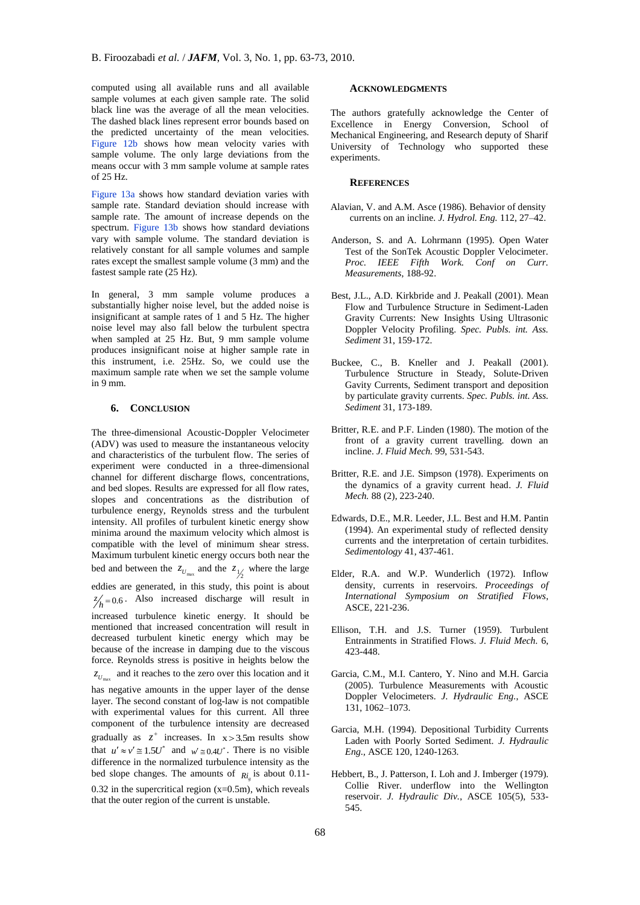computed using all available runs and all available sample volumes at each given sample rate. The solid black line was the average of all the mean velocities. The dashed black lines represent error bounds based on the predicted uncertainty of the mean velocities. Figure 12b shows how mean velocity varies with sample volume. The only large deviations from the means occur with 3 mm sample volume at sample rates of 25 Hz.

Figure 13a shows how standard deviation varies with sample rate. Standard deviation should increase with sample rate. The amount of increase depends on the spectrum. Figure 13b shows how standard deviations vary with sample volume. The standard deviation is relatively constant for all sample volumes and sample rates except the smallest sample volume (3 mm) and the fastest sample rate (25 Hz).

In general, 3 mm sample volume produces a substantially higher noise level, but the added noise is insignificant at sample rates of 1 and 5 Hz. The higher noise level may also fall below the turbulent spectra when sampled at 25 Hz. But, 9 mm sample volume produces insignificant noise at higher sample rate in this instrument, i.e. 25Hz. So, we could use the maximum sample rate when we set the sample volume in 9 mm.

## **6. CONCLUSION**

The three-dimensional Acoustic-Doppler Velocimeter (ADV) was used to measure the instantaneous velocity and characteristics of the turbulent flow. The series of experiment were conducted in a three-dimensional channel for different discharge flows, concentrations, and bed slopes. Results are expressed for all flow rates, slopes and concentrations as the distribution of turbulence energy, Reynolds stress and the turbulent intensity. All profiles of turbulent kinetic energy show minima around the maximum velocity which almost is compatible with the level of minimum shear stress. Maximum turbulent kinetic energy occurs both near the bed and between the  $z_{U_{\text{max}}}$  and the  $z_{1/2}$  where the large eddies are generated, in this study, this point is about

 $z'_{h} = 0.6$  Also increased discharge will result in increased turbulence kinetic energy. It should be mentioned that increased concentration will result in decreased turbulent kinetic energy which may be because of the increase in damping due to the viscous force. Reynolds stress is positive in heights below the  $z_{U_{\text{max}}}$  and it reaches to the zero over this location and it

has negative amounts in the upper layer of the dense layer. The second constant of log-law is not compatible with experimental values for this current. All three component of the turbulence intensity are decreased gradually as  $z^+$  increases. In  $x > 3.5m$  results show that  $u' \approx v' \approx 1.5U^*$  and  $w' \approx 0.4U^*$ . There is no visible difference in the normalized turbulence intensity as the bed slope changes. The amounts of  $Ri_g$  is about 0.11-0.32 in the supercritical region  $(x=0.5m)$ , which reveals that the outer region of the current is unstable.

## **ACKNOWLEDGMENTS**

The authors gratefully acknowledge the Center of Excellence in Energy Conversion, School of Mechanical Engineering, and Research deputy of Sharif University of Technology who supported these experiments.

### **REFERENCES**

- Alavian, V. and A.M. Asce (1986). Behavior of density currents on an incline. *J. Hydrol. Eng.* 112, 27–42.
- Anderson, S. and A. Lohrmann (1995). Open Water Test of the SonTek Acoustic Doppler Velocimeter. *Proc. IEEE Fifth Work. Conf on Curr. Measurements*, 188-92.
- Best, J.L., A.D. Kirkbride and J. Peakall (2001). Mean Flow and Turbulence Structure in Sediment-Laden Gravity Currents: New Insights Using Ultrasonic Doppler Velocity Profiling. *Spec. Publs. int. Ass. Sediment* 31, 159-172.
- Buckee, C., B. Kneller and J. Peakall (2001). Turbulence Structure in Steady, Solute-Driven Gavity Currents, Sediment transport and deposition by particulate gravity currents. *Spec. Publs. int. Ass. Sediment* 31, 173-189.
- Britter, R.E. and P.F. Linden (1980). The motion of the front of a gravity current travelling. down an incline. *J. Fluid Mech.* 99, 531-543.
- Britter, R.E. and J.E. Simpson (1978). Experiments on the dynamics of a gravity current head. *J. Fluid Mech.* 88 (2), 223-240.
- Edwards, D.E., M.R. Leeder, J.L. Best and H.M. Pantin (1994). An experimental study of reflected density currents and the interpretation of certain turbidites. *Sedimentology* 41, 437-461.
- Elder, R.A. and W.P. Wunderlich (1972). Inflow density, currents in reservoirs. *Proceedings of International Symposium on Stratified Flows*, ASCE, 221-236.
- Ellison, T.H. and J.S. Turner (1959). Turbulent Entrainments in Stratified Flows. *J. Fluid Mech.* 6, 423-448.
- Garcia, C.M., M.I. Cantero, Y. Nino and M.H. Garcia (2005). Turbulence Measurements with Acoustic Doppler Velocimeters. *J. Hydraulic Eng.*, ASCE 131, 1062–1073.
- Garcia, M.H. (1994). Depositional Turbidity Currents Laden with Poorly Sorted Sediment. *J. Hydraulic Eng.,* ASCE 120, 1240-1263.
- Hebbert, B., J. Patterson, I. Loh and J. Imberger (1979). Collie River. underflow into the Wellington reservoir. *J. Hydraulic Div.*, ASCE 105(5), 533- 545.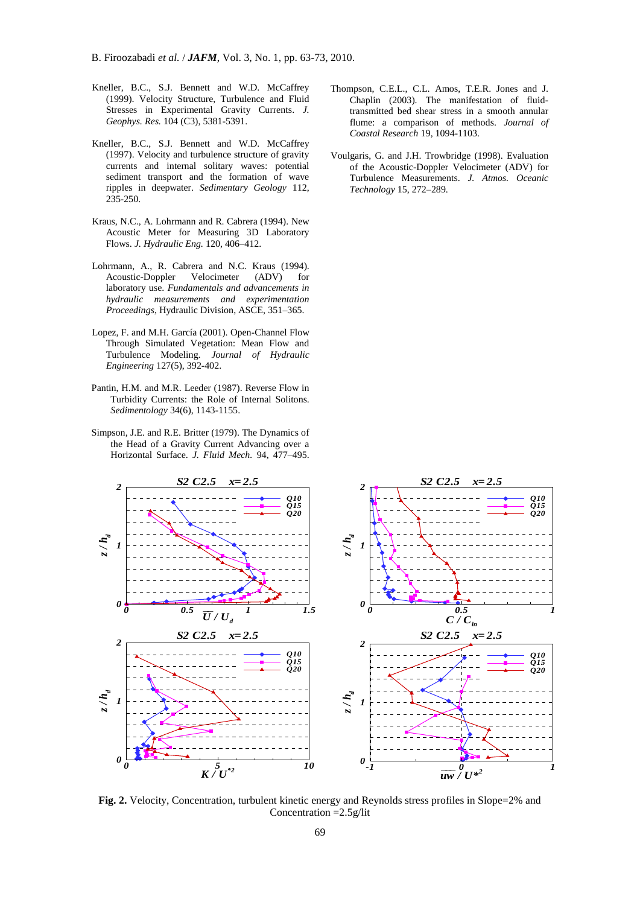- Kneller, B.C., S.J. Bennett and W.D. McCaffrey (1999). Velocity Structure, Turbulence and Fluid Stresses in Experimental Gravity Currents. *J. Geophys. Res.* 104 (C3), 5381-5391.
- Kneller, B.C., S.J. Bennett and W.D. McCaffrey (1997). Velocity and turbulence structure of gravity currents and internal solitary waves: potential sediment transport and the formation of wave ripples in deepwater. *Sedimentary Geology* 112, 235-250.
- Kraus, N.C., A. Lohrmann and R. Cabrera (1994). New Acoustic Meter for Measuring 3D Laboratory Flows. *J. Hydraulic Eng.* 120, 406–412.
- Lohrmann, A., R. Cabrera and N.C. Kraus (1994). Acoustic-Doppler Velocimeter (ADV) for laboratory use. *Fundamentals and advancements in hydraulic measurements and experimentation Proceedings*, Hydraulic Division, ASCE, 351–365.
- Lopez, F. and M.H. García (2001). Open-Channel Flow Through Simulated Vegetation: Mean Flow and Turbulence Modeling. *Journal of Hydraulic Engineering* 127(5), 392-402.
- Pantin, H.M. and M.R. Leeder (1987). Reverse Flow in Turbidity Currents: the Role of Internal Solitons. *Sedimentology* 34(6), 1143-1155.
- Simpson, J.E. and R.E. Britter (1979). The Dynamics of the Head of a Gravity Current Advancing over a Horizontal Surface. *J. Fluid Mech.* 94, 477–495.
- Thompson, C.E.L., C.L. Amos, T.E.R. Jones and J. Chaplin (2003). The manifestation of fluidtransmitted bed shear stress in a smooth annular flume: a comparison of methods. *Journal of Coastal Research* 19, 1094-1103.
- Voulgaris, G. and J.H. Trowbridge (1998). Evaluation of the Acoustic-Doppler Velocimeter (ADV) for Turbulence Measurements. *J. Atmos. Oceanic Technology* 15, 272–289.



**Fig. 2.** Velocity, Concentration, turbulent kinetic energy and Reynolds stress profiles in Slope=2% and Concentration =2.5g/lit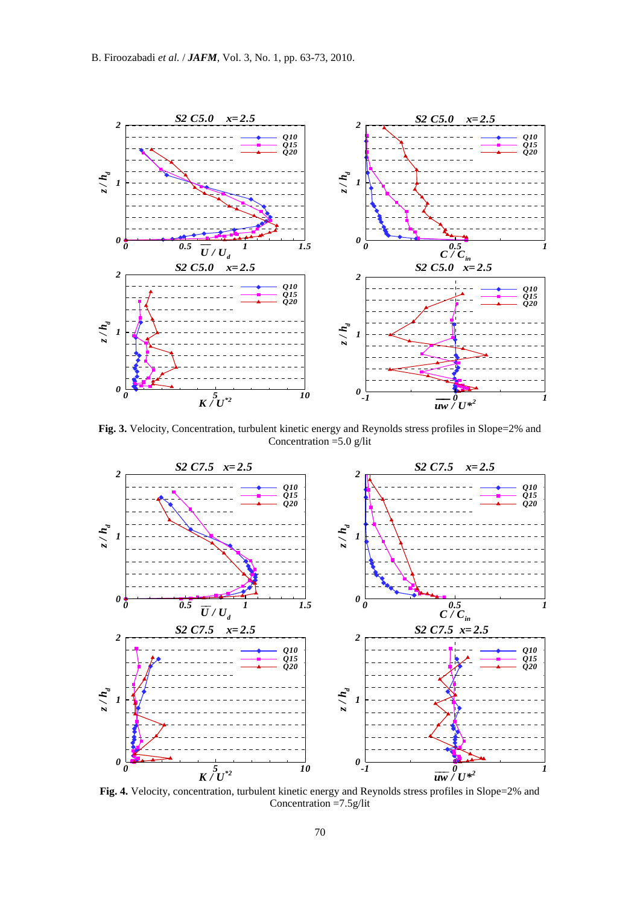

**Fig. 3.** Velocity, Concentration, turbulent kinetic energy and Reynolds stress profiles in Slope=2% and Concentration  $=$  5.0 g/lit



Fig. 4. Velocity, concentration, turbulent kinetic energy and Reynolds stress profiles in Slope=2% and Concentration =7.5g/lit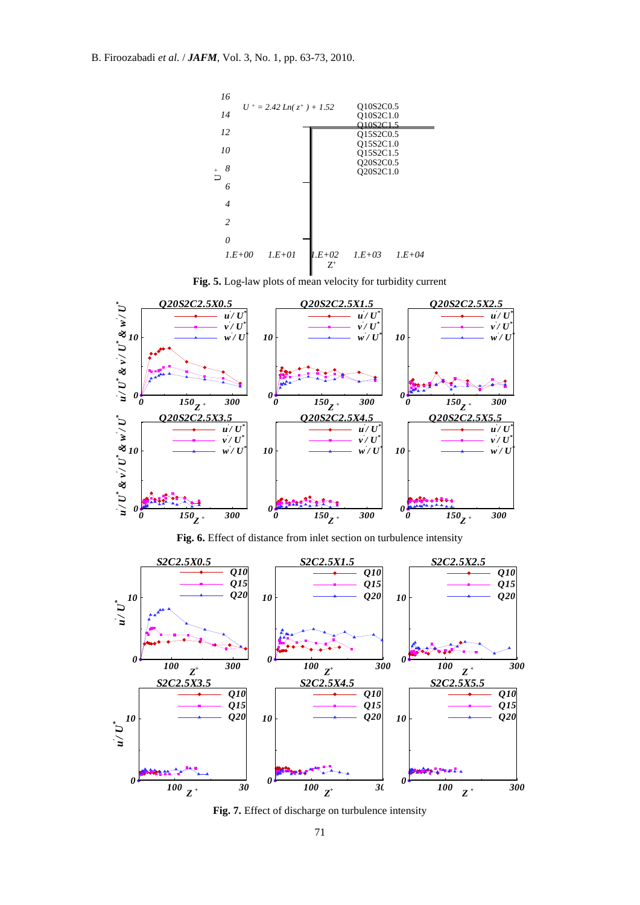

**Fig. 5.** Log-law plots of mean velocity for turbidity current



**Fig. 6.** Effect of distance from inlet section on turbulence intensity



**Fig. 7.** Effect of discharge on turbulence intensity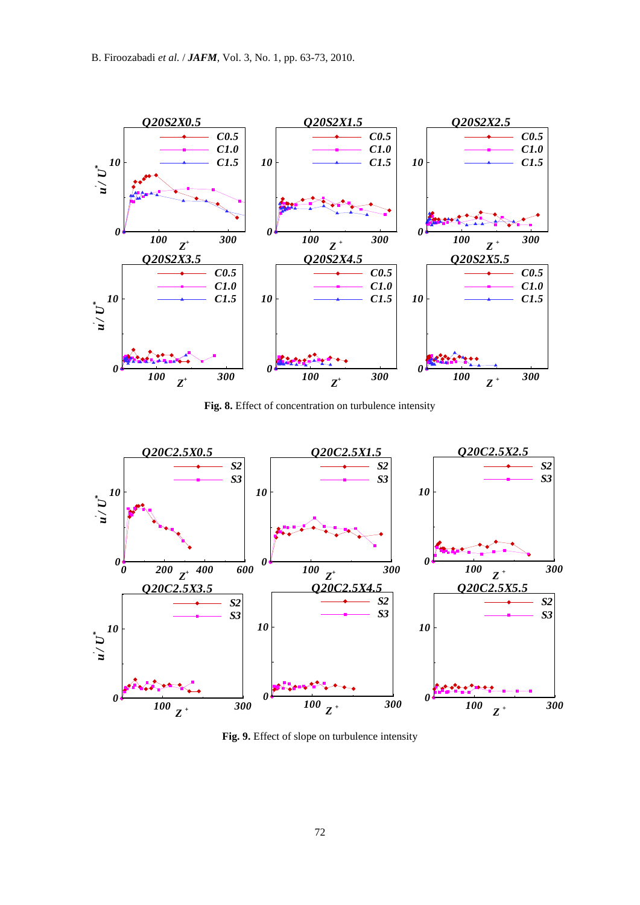

**Fig. 8.** Effect of concentration on turbulence intensity



**Fig. 9.** Effect of slope on turbulence intensity